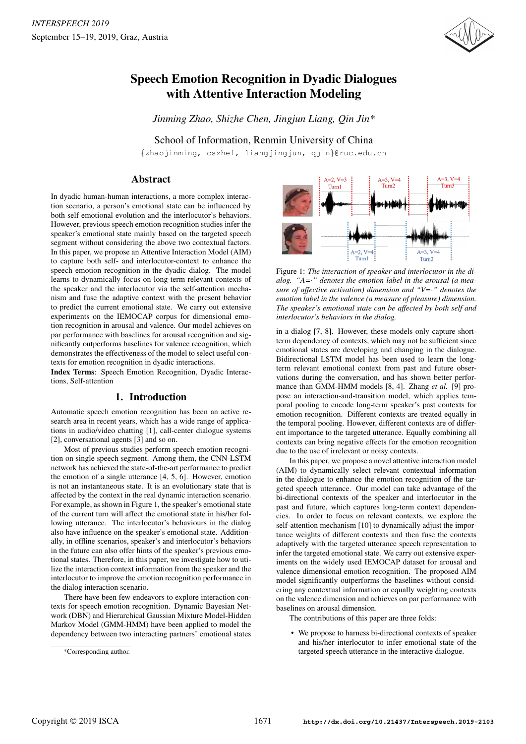

# Speech Emotion Recognition in Dyadic Dialogues with Attentive Interaction Modeling

*Jinming Zhao, Shizhe Chen, Jingjun Liang, Qin Jin\**

School of Information, Renmin University of China

{zhaojinming, cszhe1, liangjingjun, qjin}@ruc.edu.cn

# Abstract

In dyadic human-human interactions, a more complex interaction scenario, a person's emotional state can be influenced by both self emotional evolution and the interlocutor's behaviors. However, previous speech emotion recognition studies infer the speaker's emotional state mainly based on the targeted speech segment without considering the above two contextual factors. In this paper, we propose an Attentive Interaction Model (AIM) to capture both self- and interlocutor-context to enhance the speech emotion recognition in the dyadic dialog. The model learns to dynamically focus on long-term relevant contexts of the speaker and the interlocutor via the self-attention mechanism and fuse the adaptive context with the present behavior to predict the current emotional state. We carry out extensive experiments on the IEMOCAP corpus for dimensional emotion recognition in arousal and valence. Our model achieves on par performance with baselines for arousal recognition and significantly outperforms baselines for valence recognition, which demonstrates the effectiveness of the model to select useful contexts for emotion recognition in dyadic interactions.

Index Terms: Speech Emotion Recognition, Dyadic Interactions, Self-attention

#### 1. Introduction

Automatic speech emotion recognition has been an active research area in recent years, which has a wide range of applications in audio/video chatting [1], call-center dialogue systems [2], conversational agents [3] and so on.

Most of previous studies perform speech emotion recognition on single speech segment. Among them, the CNN-LSTM network has achieved the state-of-the-art performance to predict the emotion of a single utterance [4, 5, 6]. However, emotion is not an instantaneous state. It is an evolutionary state that is affected by the context in the real dynamic interaction scenario. For example, as shown in Figure 1, the speaker's emotional state of the current turn will affect the emotional state in his/her following utterance. The interlocutor's behaviours in the dialog also have influence on the speaker's emotional state. Additionally, in offline scenarios, speaker's and interlocutor's behaviors in the future can also offer hints of the speaker's previous emotional states. Therefore, in this paper, we investigate how to utilize the interaction context information from the speaker and the interlocutor to improve the emotion recognition performance in the dialog interaction scenario.

There have been few endeavors to explore interaction contexts for speech emotion recognition. Dynamic Bayesian Network (DBN) and Hierarchical Gaussian Mixture Model-Hidden Markov Model (GMM-HMM) have been applied to model the dependency between two interacting partners' emotional states



Figure 1: *The interaction of speaker and interlocutor in the dialog. "A=*·*" denotes the emotion label in the arousal (a measure of affective activation) dimension and "V=*·*" denotes the emotion label in the valence (a measure of pleasure) dimension. The speaker's emotional state can be affected by both self and interlocutor's behaviors in the dialog.*

in a dialog [7, 8]. However, these models only capture shortterm dependency of contexts, which may not be sufficient since emotional states are developing and changing in the dialogue. Bidirectional LSTM model has been used to learn the longterm relevant emotional context from past and future observations during the conversation, and has shown better performance than GMM-HMM models [8, 4]. Zhang *et al.* [9] propose an interaction-and-transition model, which applies temporal pooling to encode long-term speaker's past contexts for emotion recognition. Different contexts are treated equally in the temporal pooling. However, different contexts are of different importance to the targeted utterance. Equally combining all contexts can bring negative effects for the emotion recognition due to the use of irrelevant or noisy contexts.

In this paper, we propose a novel attentive interaction model (AIM) to dynamically select relevant contextual information in the dialogue to enhance the emotion recognition of the targeted speech utterance. Our model can take advantage of the bi-directional contexts of the speaker and interlocutor in the past and future, which captures long-term context dependencies. In order to focus on relevant contexts, we explore the self-attention mechanism [10] to dynamically adjust the importance weights of different contexts and then fuse the contexts adaptively with the targeted utterance speech representation to infer the targeted emotional state. We carry out extensive experiments on the widely used IEMOCAP dataset for arousal and valence dimensional emotion recognition. The proposed AIM model significantly outperforms the baselines without considering any contextual information or equally weighting contexts on the valence dimension and achieves on par performance with baselines on arousal dimension.

The contributions of this paper are three folds:

We propose to harness bi-directional contexts of speaker and his/her interlocutor to infer emotional state of the targeted speech utterance in the interactive dialogue.

<sup>\*</sup>Corresponding author.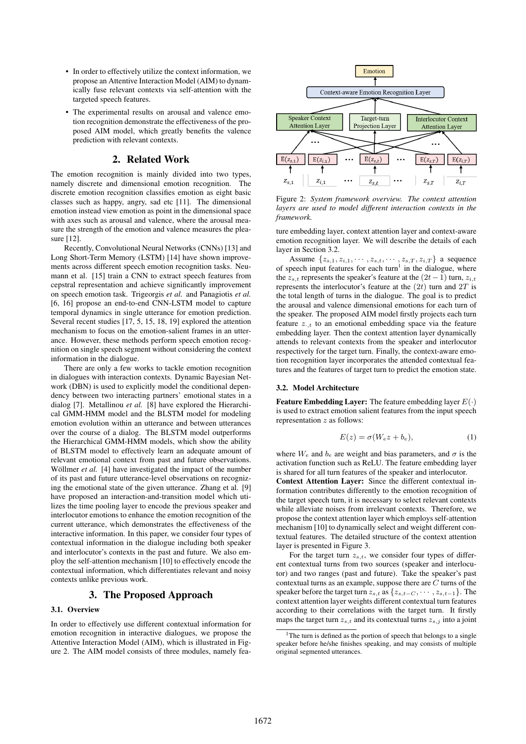- In order to effectively utilize the context information, we propose an Attentive Interaction Model (AIM) to dynamically fuse relevant contexts via self-attention with the targeted speech features.
- The experimental results on arousal and valence emotion recognition demonstrate the effectiveness of the proposed AIM model, which greatly benefits the valence prediction with relevant contexts.

# 2. Related Work

The emotion recognition is mainly divided into two types, namely discrete and dimensional emotion recognition. The discrete emotion recognition classifies emotion as eight basic classes such as happy, angry, sad etc [11]. The dimensional emotion instead view emotion as point in the dimensional space with axes such as arousal and valence, where the arousal measure the strength of the emotion and valence measures the pleasure [12].

Recently, Convolutional Neural Networks (CNNs) [13] and Long Short-Term Memory (LSTM) [14] have shown improvements across different speech emotion recognition tasks. Neumann et al. [15] train a CNN to extract speech features from cepstral representation and achieve significantly improvement on speech emotion task. Trigeorgis *et al.* and Panagiotis *et al.* [6, 16] propose an end-to-end CNN-LSTM model to capture temporal dynamics in single utterance for emotion prediction. Several recent studies [17, 5, 15, 18, 19] explored the attention mechanism to focus on the emotion-salient frames in an utterance. However, these methods perform speech emotion recognition on single speech segment without considering the context information in the dialogue.

There are only a few works to tackle emotion recognition in dialogues with interaction contexts. Dynamic Bayesian Network (DBN) is used to explicitly model the conditional dependency between two interacting partners' emotional states in a dialog [7]. Metallinou *et al.* [8] have explored the Hierarchical GMM-HMM model and the BLSTM model for modeling emotion evolution within an utterance and between utterances over the course of a dialog. The BLSTM model outperforms the Hierarchical GMM-HMM models, which show the ability of BLSTM model to effectively learn an adequate amount of relevant emotional context from past and future observations. Wöllmer *et al.* [4] have investigated the impact of the number of its past and future utterance-level observations on recognizing the emotional state of the given utterance. Zhang et al. [9] have proposed an interaction-and-transition model which utilizes the time pooling layer to encode the previous speaker and interlocutor emotions to enhance the emotion recognition of the current utterance, which demonstrates the effectiveness of the interactive information. In this paper, we consider four types of contextual information in the dialogue including both speaker and interlocutor's contexts in the past and future. We also employ the self-attention mechanism [10] to effectively encode the contextual information, which differentiates relevant and noisy contexts unlike previous work.

## 3. The Proposed Approach

#### 3.1. Overview

In order to effectively use different contextual information for emotion recognition in interactive dialogues, we propose the Attentive Interaction Model (AIM), which is illustrated in Figure 2. The AIM model consists of three modules, namely fea-



Figure 2: *System framework overview. The context attention layers are used to model different interaction contexts in the framework.*

ture embedding layer, context attention layer and context-aware emotion recognition layer. We will describe the details of each layer in Section 3.2.

Assume  $\{z_{s,1}, z_{i,1}, \cdots, z_{s,t}, \cdots, z_{s,T}, z_{i,T}\}\$ a sequence of speech input features for each turn<sup>1</sup> in the dialogue, where the  $z_{s,t}$  represents the speaker's feature at the  $(2t-1)$  turn,  $z_{i,t}$ represents the interlocutor's feature at the  $(2t)$  turn and  $2T$  is the total length of turns in the dialogue. The goal is to predict the arousal and valence dimensional emotions for each turn of the speaker. The proposed AIM model firstly projects each turn feature  $z_{\cdot,t}$  to an emotional embedding space via the feature embedding layer. Then the context attention layer dynamically attends to relevant contexts from the speaker and interlocutor respectively for the target turn. Finally, the context-aware emotion recognition layer incorporates the attended contextual features and the features of target turn to predict the emotion state.

#### 3.2. Model Architecture

**Feature Embedding Layer:** The feature embedding layer  $E(\cdot)$ is used to extract emotion salient features from the input speech representation z as follows:

$$
E(z) = \sigma(W_e z + b_e),\tag{1}
$$

where  $W_e$  and  $b_e$  are weight and bias parameters, and  $\sigma$  is the activation function such as ReLU. The feature embedding layer is shared for all turn features of the speaker and interlocutor.

Context Attention Layer: Since the different contextual information contributes differently to the emotion recognition of the target speech turn, it is necessary to select relevant contexts while alleviate noises from irrelevant contexts. Therefore, we propose the context attention layer which employs self-attention mechanism [10] to dynamically select and weight different contextual features. The detailed structure of the context attention layer is presented in Figure 3.

For the target turn  $z_{s,t}$ , we consider four types of different contextual turns from two sources (speaker and interlocutor) and two ranges (past and future). Take the speaker's past contextual turns as an example, suppose there are C turns of the speaker before the target turn  $z_{s,t}$  as  $\{z_{s,t-C}, \cdots, z_{s,t-1}\}$ . The context attention layer weights different contextual turn features according to their correlations with the target turn. It firstly maps the target turn  $z_{s,t}$  and its contextual turns  $z_{s,i}$  into a joint

<sup>&</sup>lt;sup>1</sup>The turn is defined as the portion of speech that belongs to a single speaker before he/she finishes speaking, and may consists of multiple original segmented utterances.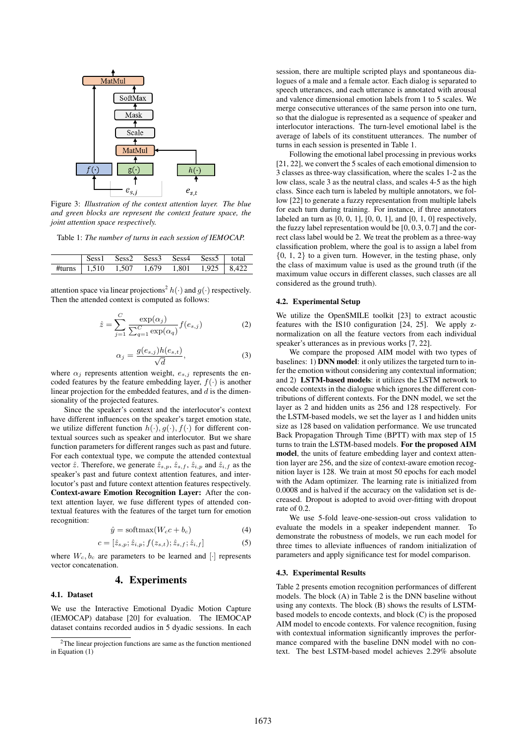

Figure 3: *Illustration of the context attention layer. The blue and green blocks are represent the context feature space, the joint attention space respectively.*

Table 1: *The number of turns in each session of IEMOCAP.*

|  |  | Sess1 Sess2 Sess3 Sess4 Sess5 total                      |  |
|--|--|----------------------------------------------------------|--|
|  |  | #turns   $1,510$ $1,507$ $1,679$ $1,801$ $1,925$   8,422 |  |

attention space via linear projections<sup>2</sup>  $h(\cdot)$  and  $g(\cdot)$  respectively. Then the attended context is computed as follows:

$$
\hat{z} = \sum_{j=1}^{C} \frac{\exp(\alpha_j)}{\sum_{q=1}^{C} \exp(\alpha_q)} f(e_{s,j})
$$
\n(2)

$$
\alpha_j = \frac{g(e_{s,j})h(e_{s,t})}{\sqrt{d}},\tag{3}
$$

where  $\alpha_i$  represents attention weight,  $e_{s,i}$  represents the encoded features by the feature embedding layer,  $f(\cdot)$  is another linear projection for the embedded features, and  $d$  is the dimensionality of the projected features.

Since the speaker's context and the interlocutor's context have different influences on the speaker's target emotion state, we utilize different function  $h(\cdot), g(\cdot), f(\cdot)$  for different contextual sources such as speaker and interlocutor. But we share function parameters for different ranges such as past and future. For each contextual type, we compute the attended contextual vector  $\hat{z}$ . Therefore, we generate  $\hat{z}_{s,p}$ ,  $\hat{z}_{s,f}$ ,  $\hat{z}_{i,p}$  and  $\hat{z}_{i,f}$  as the speaker's past and future context attention features, and interlocutor's past and future context attention features respectively. Context-aware Emotion Recognition Layer: After the context attention layer, we fuse different types of attended contextual features with the features of the target turn for emotion recognition:

$$
\hat{y} = \text{softmax}(W_c c + b_c) \tag{4}
$$

$$
c = [\hat{z}_{s,p}; \hat{z}_{i,p}; f(z_{s,t}); \hat{z}_{s,f}; \hat{z}_{i,f}] \tag{5}
$$

where  $W_c, b_c$  are parameters to be learned and [·] represents vector concatenation.

#### 4. Experiments

#### 4.1. Dataset

We use the Interactive Emotional Dyadic Motion Capture (IEMOCAP) database [20] for evaluation. The IEMOCAP dataset contains recorded audios in 5 dyadic sessions. In each session, there are multiple scripted plays and spontaneous dialogues of a male and a female actor. Each dialog is separated to speech utterances, and each utterance is annotated with arousal and valence dimensional emotion labels from 1 to 5 scales. We merge consecutive utterances of the same person into one turn, so that the dialogue is represented as a sequence of speaker and interlocutor interactions. The turn-level emotional label is the average of labels of its constituent utterances. The number of turns in each session is presented in Table 1.

Following the emotional label processing in previous works [21, 22], we convert the 5 scales of each emotional dimension to 3 classes as three-way classification, where the scales 1-2 as the low class, scale 3 as the neutral class, and scales 4-5 as the high class. Since each turn is labeled by multiple annotators, we follow [22] to generate a fuzzy representation from multiple labels for each turn during training. For instance, if three annotators labeled an turn as  $[0, 0, 1]$ ,  $[0, 0, 1]$ , and  $[0, 1, 0]$  respectively, the fuzzy label representation would be [0, 0.3, 0.7] and the correct class label would be 2. We treat the problem as a three-way classification problem, where the goal is to assign a label from {0, 1, 2} to a given turn. However, in the testing phase, only the class of maximum value is used as the ground truth (if the maximum value occurs in different classes, such classes are all considered as the ground truth).

#### 4.2. Experimental Setup

We utilize the OpenSMILE toolkit [23] to extract acoustic features with the IS10 configuration [24, 25]. We apply znormalization on all the feature vectors from each individual speaker's utterances as in previous works [7, 22].

We compare the proposed AIM model with two types of baselines: 1) DNN model: it only utilizes the targeted turn to infer the emotion without considering any contextual information; and 2) LSTM-based models: it utilizes the LSTM network to encode contexts in the dialogue which ignores the different contributions of different contexts. For the DNN model, we set the layer as 2 and hidden units as 256 and 128 respectively. For the LSTM-based models, we set the layer as 1 and hidden units size as 128 based on validation performance. We use truncated Back Propagation Through Time (BPTT) with max step of 15 turns to train the LSTM-based models. For the proposed AIM model, the units of feature embedding layer and context attention layer are 256, and the size of context-aware emotion recognition layer is 128. We train at most 50 epochs for each model with the Adam optimizer. The learning rate is initialized from 0.0008 and is halved if the accuracy on the validation set is decreased. Dropout is adopted to avoid over-fitting with dropout rate of 0.2.

We use 5-fold leave-one-session-out cross validation to evaluate the models in a speaker independent manner. To demonstrate the robustness of models, we run each model for three times to alleviate influences of random initialization of parameters and apply significance test for model comparison.

#### 4.3. Experimental Results

Table 2 presents emotion recognition performances of different models. The block (A) in Table 2 is the DNN baseline without using any contexts. The block (B) shows the results of LSTMbased models to encode contexts, and block (C) is the proposed AIM model to encode contexts. For valence recognition, fusing with contextual information significantly improves the performance compared with the baseline DNN model with no context. The best LSTM-based model achieves 2.29% absolute

<sup>2</sup>The linear projection functions are same as the function mentioned in Equation (1)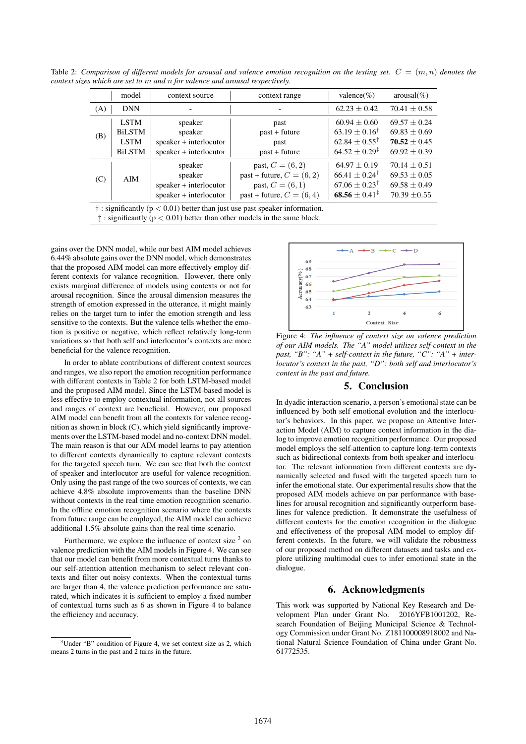Table 2: *Comparison of different models for arousal and valence emotion recognition on the testing set.*  $C = (m, n)$  *denotes the context sizes which are set to* m *and* n *for valence and arousal respectively.*

|     | model                                                        | context source                                                         | context range                                                                                          | valence(%)                                                                                                  | $arousal(\%)$                                                              |  |  |
|-----|--------------------------------------------------------------|------------------------------------------------------------------------|--------------------------------------------------------------------------------------------------------|-------------------------------------------------------------------------------------------------------------|----------------------------------------------------------------------------|--|--|
| (A) | <b>DNN</b>                                                   |                                                                        |                                                                                                        | $62.23 \pm 0.42$                                                                                            | $70.41 \pm 0.58$                                                           |  |  |
| (B) | <b>LSTM</b><br><b>BiLSTM</b><br><b>LSTM</b><br><b>BiLSTM</b> | speaker<br>speaker<br>speaker + interlocutor<br>speaker + interlocutor | past<br>$past + future$<br>past<br>$past + future$                                                     | $60.94 \pm 0.60$<br>$63.19 \pm 0.16^{\dagger}$<br>$62.84 \pm 0.55^{\dagger}$<br>$64.52 \pm 0.29^{\ddagger}$ | $69.57 \pm 0.24$<br>$69.83 \pm 0.69$<br>$70.52 + 0.45$<br>$69.92 \pm 0.39$ |  |  |
| (C) | AIM                                                          | speaker<br>speaker<br>speaker + interlocutor<br>speaker + interlocutor | past, $C = (6, 2)$<br>past + future, $C = (6, 2)$<br>past, $C = (6, 1)$<br>past + future, $C = (6, 4)$ | $64.97 \pm 0.19$<br>$66.41 + 0.24^{\dagger}$<br>$67.06 \pm 0.23^{\dagger}$<br>$68.56 \pm 0.41^{\ddagger}$   | $70.14 \pm 0.51$<br>$69.53 + 0.05$<br>$69.58 \pm 0.49$<br>$70.39 \pm 0.55$ |  |  |
|     |                                                              |                                                                        |                                                                                                        |                                                                                                             |                                                                            |  |  |

 $\dagger$ : significantly ( $p < 0.01$ ) better than just use past speaker information.

 $\ddagger$ : significantly ( $p < 0.01$ ) better than other models in the same block.

gains over the DNN model, while our best AIM model achieves 6.44% absolute gains over the DNN model, which demonstrates that the proposed AIM model can more effectively employ different contexts for valance recognition. However, there only exists marginal difference of models using contexts or not for arousal recognition. Since the arousal dimension measures the strength of emotion expressed in the utterance, it might mainly relies on the target turn to infer the emotion strength and less sensitive to the contexts. But the valence tells whether the emotion is positive or negative, which reflect relatively long-term variations so that both self and interlocutor's contexts are more beneficial for the valence recognition.

In order to ablate contributions of different context sources and ranges, we also report the emotion recognition performance with different contexts in Table 2 for both LSTM-based model and the proposed AIM model. Since the LSTM-based model is less effective to employ contextual information, not all sources and ranges of context are beneficial. However, our proposed AIM model can benefit from all the contexts for valence recognition as shown in block (C), which yield significantly improvements over the LSTM-based model and no-context DNN model. The main reason is that our AIM model learns to pay attention to different contexts dynamically to capture relevant contexts for the targeted speech turn. We can see that both the context of speaker and interlocutor are useful for valence recognition. Only using the past range of the two sources of contexts, we can achieve 4.8% absolute improvements than the baseline DNN without contexts in the real time emotion recognition scenario. In the offline emotion recognition scenario where the contexts from future range can be employed, the AIM model can achieve additional 1.5% absolute gains than the real time scenario.

Furthermore, we explore the influence of context size  $3$  on valence prediction with the AIM models in Figure 4. We can see that our model can benefit from more contextual turns thanks to our self-attention attention mechanism to select relevant contexts and filter out noisy contexts. When the contextual turns are larger than 4, the valence prediction performance are saturated, which indicates it is sufficient to employ a fixed number of contextual turns such as 6 as shown in Figure 4 to balance the efficiency and accuracy.



Figure 4: *The influence of context size on valence prediction of our AIM models. The "A" model utilizes self-context in the past, "B": "A" + self-context in the future, "C": "A" + interlocutor's context in the past, "D": both self and interlocutor's context in the past and future.*

### 5. Conclusion

In dyadic interaction scenario, a person's emotional state can be influenced by both self emotional evolution and the interlocutor's behaviors. In this paper, we propose an Attentive Interaction Model (AIM) to capture context information in the dialog to improve emotion recognition performance. Our proposed model employs the self-attention to capture long-term contexts such as bidirectional contexts from both speaker and interlocutor. The relevant information from different contexts are dynamically selected and fused with the targeted speech turn to infer the emotional state. Our experimental results show that the proposed AIM models achieve on par performance with baselines for arousal recognition and significantly outperform baselines for valence prediction. It demonstrate the usefulness of different contexts for the emotion recognition in the dialogue and effectiveness of the proposal AIM model to employ different contexts. In the future, we will validate the robustness of our proposed method on different datasets and tasks and explore utilizing multimodal cues to infer emotional state in the dialogue.

# 6. Acknowledgments

This work was supported by National Key Research and Development Plan under Grant No. 2016YFB1001202, Research Foundation of Beijing Municipal Science & Technology Commission under Grant No. Z181100008918002 and National Natural Science Foundation of China under Grant No. 61772535.

<sup>3</sup>Under "B" condition of Figure 4, we set context size as 2, which means 2 turns in the past and 2 turns in the future.